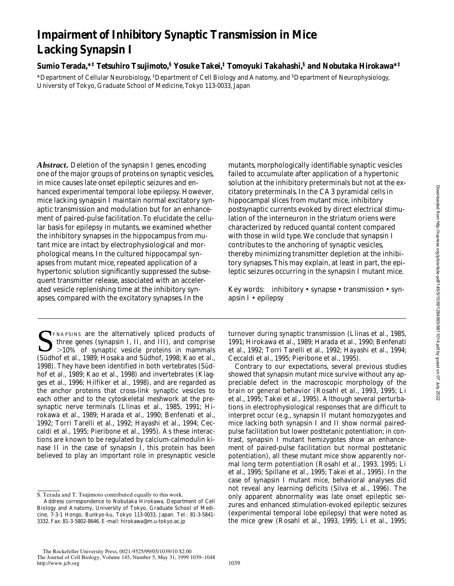# **Impairment of Inhibitory Synaptic Transmission in Mice Lacking Synapsin I**

**Sumio Terada,\*‡ Tetsuhiro Tsujimoto,§ Yosuke Takei,‡ Tomoyuki Takahashi,§ and Nobutaka Hirokawa\*‡**

\*Department of Cellular Neurobiology, ‡ Department of Cell Biology and Anatomy, and § Department of Neurophysiology, University of Tokyo, Graduate School of Medicine, Tokyo 113-0033, Japan

*Abstract.* Deletion of the synapsin I genes, encoding one of the major groups of proteins on synaptic vesicles, in mice causes late onset epileptic seizures and enhanced experimental temporal lobe epilepsy. However, mice lacking synapsin I maintain normal excitatory synaptic transmission and modulation but for an enhancement of paired-pulse facilitation. To elucidate the cellular basis for epilepsy in mutants, we examined whether the inhibitory synapses in the hippocampus from mutant mice are intact by electrophysiological and morphological means. In the cultured hippocampal synapses from mutant mice, repeated application of a hypertonic solution significantly suppressed the subsequent transmitter release, associated with an accelerated vesicle replenishing time at the inhibitory synapses, compared with the excitatory synapses. In the

SYNAPSINS are the alternatively spliced products of<br>three genes (synapsin I, II, and III), and comprise<br> $>10\%$  of synaptic vesicle proteins in mammals<br>(Südbof et al. 1090; Hoseke and State 1009; Kee at al. three genes (synapsin I, II, and III), and comprise (Südhof et al., 1989; Hosaka and Südhof, 1998; Kao et al., 1998). They have been identified in both vertebrates (Südhof et al., 1989; Kao et al., 1998) and invertebrates (Klagges et al., 1996; Hilfiker et al., 1998), and are regarded as the anchor proteins that cross-link synaptic vesicles to each other and to the cytoskeletal meshwork at the presynaptic nerve terminals (Llinas et al., 1985, 1991; Hirokawa et al., 1989; Harada et al., 1990; Benfenati et al., 1992; Torri Tarelli et al., 1992; Hayashi et al., 1994; Ceccaldi et al., 1995; Pieribone et al., 1995). As these interactions are known to be regulated by calcium-calmodulin kinase II in the case of synapsin I, this protein has been believed to play an important role in presynaptic vesicle mutants, morphologically identifiable synaptic vesicles failed to accumulate after application of a hypertonic solution at the inhibitory preterminals but not at the excitatory preterminals. In the CA3 pyramidal cells in hippocampal slices from mutant mice, inhibitory postsynaptic currents evoked by direct electrical stimulation of the interneuron in the striatum oriens were characterized by reduced quantal content compared with those in wild type. We conclude that synapsin I contributes to the anchoring of synaptic vesicles, thereby minimizing transmitter depletion at the inhibitory synapses. This may explain, at least in part, the epileptic seizures occurring in the synapsin I mutant mice.

Key words: inhibitory • synapse • transmission • synapsin I • epilepsy

turnover during synaptic transmission (Llinas et al., 1985, 1991; Hirokawa et al., 1989; Harada et al., 1990; Benfenati et al., 1992; Torri Tarelli et al., 1992; Hayashi et al., 1994; Ceccaldi et al., 1995; Pieribone et al., 1995).

Contrary to our expectations, several previous studies showed that synapsin mutant mice survive without any appreciable defect in the macroscopic morphology of the brain or general behavior (Rosahl et al., 1993, 1995; Li et al., 1995; Takei et al., 1995). Although several perturbations in electrophysiological responses that are difficult to interpret occur (e.g., synapsin II mutant homozygotes and mice lacking both synapsin I and II show normal pairedpulse facilitation but lower posttetanic potentiation; in contrast, synapsin I mutant hemizygotes show an enhancement of paired-pulse facilitation but normal posttetanic potentiation), all these mutant mice show apparently normal long term potentiation (Rosahl et al., 1993, 1995; Li et al., 1995; Spillane et al., 1995; Takei et al., 1995). In the case of synapsin I mutant mice, behavioral analyses did not reveal any learning deficits (Silva et al., 1996). The only apparent abnormality was late onset epileptic seizures and enhanced stimulation-evoked epileptic seizures (experimental temporal lobe epilepsy) that were noted as the mice grew (Rosahl et al., 1993, 1995; Li et al., 1995;

S. Terada and T. Tsujimoto contributed equally to this work.

Address correspondence to Nobutaka Hirokawa, Department of Cell Biology and Anatomy, University of Tokyo, Graduate School of Medicine, 7-3-1 Hongo, Bunkyo-ku, Tokyo 113-0033, Japan. Tel.: 81-3-5841- 3332. Fax: 81-3-5802-8646. E-mail: hirokawa@m.u-tokyo.ac.jp

The Rockefeller University Press, 0021-9525/99/05/1039/10 \$2.00 The Journal of Cell Biology, Volume 145, Number 5, May 31, 1999 1039–1048 http://www.jcb.org 1039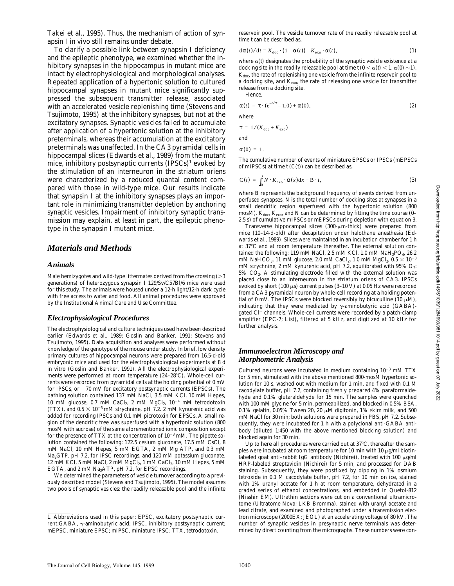Downloaded from http://rupress.org/jcb/article-pdf/145/5/1039/1284993/9811014.pdf by guest on 07 July 2022 Downloaded from http://rupress.org/jcb/article-pdf/145/5/1039/1284993/9811014.pdf by guest on 07 July 2022

Takei et al., 1995). Thus, the mechanism of action of synapsin I in vivo still remains under debate.

To clarify a possible link between synapsin I deficiency and the epileptic phenotype, we examined whether the inhibitory synapses in the hippocampus in mutant mice are intact by electrophysiological and morphological analyses. Repeated application of a hypertonic solution to cultured hippocampal synapses in mutant mice significantly suppressed the subsequent transmitter release, associated with an accelerated vesicle replenishing time (Stevens and Tsujimoto, 1995) at the inhibitory synapses, but not at the excitatory synapses. Synaptic vesicles failed to accumulate after application of a hypertonic solution at the inhibitory preterminals, whereas their accumulation at the excitatory preterminals was unaffected. In the CA3 pyramidal cells in hippocampal slices (Edwards et al., 1989) from the mutant mice, inhibitory postsynaptic currents (IPSCs)<sup>1</sup> evoked by the stimulation of an interneuron in the striatum oriens were characterized by a reduced quantal content compared with those in wild-type mice. Our results indicate that synapsin I at the inhibitory synapses plays an important role in minimizing transmitter depletion by anchoring synaptic vesicles. Impairment of inhibitory synaptic transmission may explain, at least in part, the epileptic phenotype in the synapsin I mutant mice.

#### *Materials and Methods*

#### *Animals*

Male hemizygotes and wild-type littermates derived from the crossing  $(>= 3$ generations) of heterozygous synapsin I 129/Sv/C57Bl/6 mice were used for this study. The animals were housed under a 12-h light/12-h dark cycle with free access to water and food. All animal procedures were approved by the Institutional Animal Care and Use Committee.

#### *Electrophysiological Procedures*

The electrophysiological and culture techniques used have been described earlier (Edwards et al., 1989; Goslin and Banker, 1991; Stevens and Tsujimoto, 1995). Data acquisition and analyses were performed without knowledge of the genotype of the mouse under study. In brief, low density primary cultures of hippocampal neurons were prepared from 16.5-d-old embryonic mice and used for the electrophysiological experiments at 8 d in vitro (Goslin and Banker, 1991). All the electrophysiological experiments were performed at room temperature  $(24-28^{\circ}C)$ . Whole-cell currents were recorded from pyramidal cells at the holding potential of 0 mV for IPSCs, or  $-70$  mV for excitatory postsynaptic currents (EPSCs). The bathing solution contained 137 mM NaCl, 3.5 mM KCl, 10 mM Hepes, 10 mM glucose, 0.7 mM CaCl<sub>2</sub>, 2 mM MgCl<sub>2</sub>,  $10^{-4}$  mM tetrodotoxin (TTX), and  $0.5 \times 10^{-3}$  mM strychnine, pH 7.2. 2 mM kynurenic acid was added for recording IPSCs and 0.1 mM picrotoxin for EPSCs. A small region of the dendritic tree was superfused with a hypertonic solution (800 mosM with sucrose) of the same aforementioned ionic composition except for the presence of TTX at the concentration of  $10^{-3}$  mM. The pipette solution contained the following: 122.5 cesium gluconate, 17.5 mM CsCl, 8 mM NaCl, 10 mM Hepes, 5 mM EGTA, 2 mM Mg ATP, and 0.3 mM Na3GTP, pH 7.2, for IPSC recordings, and 120 mM potassium gluconate, 12 mM KCl, 5 mM NaCl, 2 mM MgCl<sub>2</sub>, 1 mM CaCl<sub>2</sub>, 10 mM Hepes, 5 mM EGTA, and 2 mM Na2ATP, pH 7.2, for EPSC recordings.

We determined the parameters of vesicle turnover according to a previously described model (Stevens and Tsujimoto, 1995). The model assumes two pools of synaptic vesicles: the readily releasable pool and the infinite

reservoir pool. The vesicle turnover rate of the readily releasable pool at time *t* can be described as,

$$
d\alpha(t)/dt = K_{doc} \cdot (1 - \alpha(t)) - K_{exo} \cdot \alpha(t),
$$
\n(1)

where  $\alpha(t)$  designates the probability of the synaptic vesicle existence at a docking site in the readily releasable pool at time  $t$  ( $0 < \alpha(t) < 1$ ,  $\alpha(0) \sim 1$ ),  $K_{\text{doc}}$ , the rate of replenishing one vesicle from the infinite reservoir pool to a docking site, and *K*exo, the rate of releasing one vesicle for transmitter release from a docking site.

$$
\alpha(t) = \tau \cdot (e^{-t/\tau} - 1.0) + \alpha(0),
$$
 (2)

where

an

Hence,

$$
\tau = 1/(K_{\text{doc}} + K_{\text{exo}})
$$
  
and  

$$
\alpha(0) = 1.
$$

The cumulative number of events of miniature EPSCs or IPSCs (mEPSCs of mIPSCs) at time  $t(C(t))$  can be described as,

$$
C(t) = \int_0^t N \cdot K_{\text{exo}} \cdot \alpha(x) dx + B \cdot t, \tag{3}
$$

where *B* represents the background frequency of events derived from unperfused synapses, *N* is the total number of docking sites at synapses in a small dendritic region superfused with the hypertonic solution (800 mosM).  $K_{\text{dec}}$ ,  $K_{\text{even}}$  and N can be determined by fitting the time course (0– 2.5 s) of cumulative mIPSCs or mEPSCs during depletion with equation 3.

Transverse hippocampal slices  $(300-\mu m-thick)$  were prepared from mice (10–14-d-old) after decapitation under halothane anesthesia (Edwards et al., 1989). Slices were maintained in an incubation chamber for 1 h at 37°C and at room temperature thereafter. The external solution contained the following: 119 mM NaCl, 2.5 mM KCl, 1.0 mM NaH<sub>2</sub>PO<sub>4</sub>, 26.2 mM NaHCO<sub>3</sub>, 11 mM glucose, 2.0 mM CaCl<sub>2</sub>, 1.0 mM MgCl<sub>2</sub>,  $0.5 \times 10^{-3}$ mM strychnine, 2 mM kynurenic acid, pH 7.2, equilibrated with  $95\%$  O<sub>2</sub>:  $5\%$  CO<sub>2</sub>. A stimulating electrode filled with the external solution was placed close to an interneuron in the striatum oriens of CA3. IPSCs evoked by short (100  $\mu$ s) current pulses (3–10 V) at 0.05 Hz were recorded from a CA3 pyramidal neuron by whole-cell recording at a holding potential of 0 mV. The IPSCs were blocked reversibly by bicuculline  $(10 \mu M)$ , indicating that they were mediated by  $\gamma$ -aminobutyric acid (GABA)gated Cl<sup>-</sup> channels. Whole-cell currents were recorded by a patch-clamp amplifier (EPC-7; List), filtered at 5 kHz, and digitized at 10 kHz for further analysis.

#### *Immunoelectron Microscopy and Morphometric Analysis*

Cultured neurons were incubated in medium containing  $10^{-3}$  mM TTX for 5 min, stimulated with the above mentioned 800-mosM hypertonic solution for 10 s, washed out with medium for 1 min, and fixed with 0.1 M cacodylate buffer, pH 7.2, containing freshly prepared 4% paraformaldehyde and 0.1% glutaraldehyde for 15 min. The samples were quenched with 100 mM glycine for 5 min, permeabilized, and blocked in 0.5% BSA, 0.1% gelatin, 0.05% Tween 20, 20  $\mu$ M digitonin, 1% skim milk, and 500 mM NaCl for 30 min; both solutions were prepared in PBS, pH 7.2. Subsequently, they were incubated for 1 h with a polyclonal anti-GABA antibody (diluted 1:450 with the above mentioned blocking solution) and blocked again for 30 min.

Up to here all procedures were carried out at  $37^{\circ}$ C, thereafter the samples were incubated at room temperature for 10 min with 10  $\mu$ g/ml biotinlabeled goat anti–rabbit IgG antibody (Nichirei), treated with 100  $\mu$ g/ml HRP-labeled streptavidin (Nichirei) for 5 min, and processed for DAB staining. Subsequently, they were postfixed by dipping in 1% osmium tetroxide in 0.1 M cacodylate buffer, pH 7.2, for 10 min on ice, stained with 1% uranyl acetate for 1 h at room temperature, dehydrated in a graded series of ethanol concentrations, and embedded in Quetol-812 (Nisshin EM). Ultrathin sections were cut on a conventional ultramicrotome (Ultratome Nova; LKB Bromma), stained with uranyl acetate and lead citrate, and examined and photographed under a transmission electron microscope (2000EX; JEOL) at an accelerating voltage of 80 kV. The number of synaptic vesicles in presynaptic nerve terminals was determined by direct counting from the micrographs. These numbers were con-

<sup>1.</sup> *Abbreviations used in this paper:* EPSC, excitatory postsynaptic current;GABA, γ-aminobutyric acid; IPSC, inhibitory postsynaptic current; mEPSC, miniature EPSC; mIPSC, miniature IPSC; TTX, tetrodotoxin.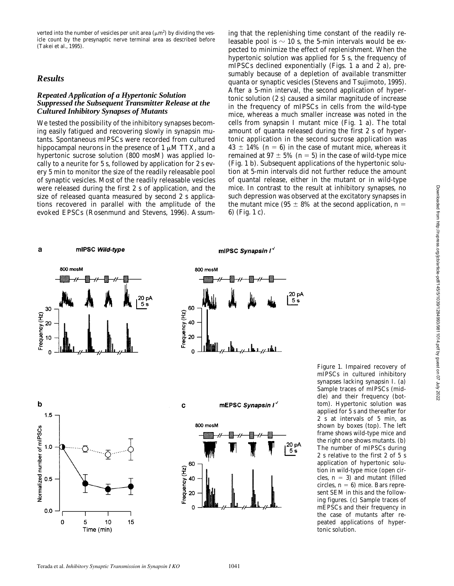verted into the number of vesicles per unit area  $(\mu m^2)$  by dividing the vesicle count by the presynaptic nerve terminal area as described before (Takei et al., 1995).

#### *Results*

#### *Repeated Application of a Hypertonic Solution Suppressed the Subsequent Transmitter Release at the Cultured Inhibitory Synapses of Mutants*

We tested the possibility of the inhibitory synapses becoming easily fatigued and recovering slowly in synapsin mutants. Spontaneous mIPSCs were recorded from cultured hippocampal neurons in the presence of  $1 \mu$ M TTX, and a hypertonic sucrose solution (800 mosM) was applied locally to a neurite for 5 s, followed by application for 2 s every 5 min to monitor the size of the readily releasable pool of synaptic vesicles. Most of the readily releasable vesicles were released during the first 2 s of application, and the size of released quanta measured by second 2 s applications recovered in parallel with the amplitude of the evoked EPSCs (Rosenmund and Stevens, 1996). Assum-

ing that the replenishing time constant of the readily releasable pool is  $\sim$  10 s, the 5-min intervals would be expected to minimize the effect of replenishment. When the hypertonic solution was applied for 5 s, the frequency of mIPSCs declined exponentially (Figs. 1 a and 2 a), presumably because of a depletion of available transmitter quanta or synaptic vesicles (Stevens and Tsujimoto, 1995). After a 5-min interval, the second application of hypertonic solution (2 s) caused a similar magnitude of increase in the frequency of mIPSCs in cells from the wild-type mice, whereas a much smaller increase was noted in the cells from synapsin I mutant mice (Fig. 1 a). The total amount of quanta released during the first 2 s of hypertonic application in the second sucrose application was  $43 \pm 14\%$  ( $n = 6$ ) in the case of mutant mice, whereas it remained at  $97 \pm 5\%$  ( $n = 5$ ) in the case of wild-type mice (Fig. 1 b). Subsequent applications of the hypertonic solution at 5-min intervals did not further reduce the amount of quantal release, either in the mutant or in wild-type mice. In contrast to the result at inhibitory synapses, no such depression was observed at the excitatory synapses in the mutant mice (95  $\pm$  8% at the second application, *n* = 6) (Fig. 1 c).

#### a mIPSC Wild-type

mIPSC Synapsin I'



*Figure 1.* Impaired recovery of mIPSCs in cultured inhibitory synapses lacking synapsin I. (a) Sample traces of mIPSCs (middle) and their frequency (bottom). Hypertonic solution was applied for 5 s and thereafter for 2 s at intervals of 5 min, as shown by boxes (top). The left frame shows wild-type mice and the right one shows mutants. (b) The number of mIPSCs during 2 s relative to the first 2 of 5 s application of hypertonic solution in wild-type mice (open circles,  $n = 3$ ) and mutant (filled circles,  $n = 6$ ) mice. Bars represent SEM in this and the following figures. (c) Sample traces of mEPSCs and their frequency in the case of mutants after repeated applications of hypertonic solution.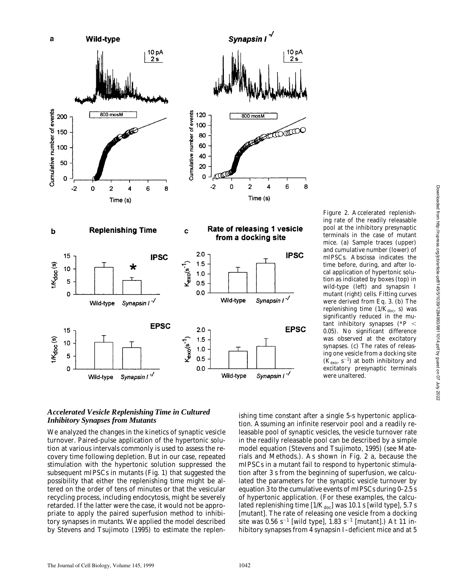

#### *Accelerated Vesicle Replenishing Time in Cultured Inhibitory Synapses from Mutants*

We analyzed the changes in the kinetics of synaptic vesicle turnover. Paired-pulse application of the hypertonic solution at various intervals commonly is used to assess the recovery time following depletion. But in our case, repeated stimulation with the hypertonic solution suppressed the subsequent mIPSCs in mutants (Fig. 1) that suggested the possibility that either the replenishing time might be altered on the order of tens of minutes or that the vesicular recycling process, including endocytosis, might be severely retarded. If the latter were the case, it would not be appropriate to apply the paired superfusion method to inhibitory synapses in mutants. We applied the model described by Stevens and Tsujimoto (1995) to estimate the replen-

ishing time constant after a single 5-s hypertonic application. Assuming an infinite reservoir pool and a readily releasable pool of synaptic vesicles, the vesicle turnover rate in the readily releasable pool can be described by a simple model equation (Stevens and Tsujimoto, 1995) (see Materials and Methods.). As shown in Fig. 2 a, because the mIPSCs in a mutant fail to respond to hypertonic stimulation after 3 s from the beginning of superfusion, we calculated the parameters for the synaptic vesicle turnover by equation 3 to the cumulative events of mIPSCs during 0–2.5 s of hypertonic application. (For these examples, the calculated replenishing time  $[1/K_{\text{doc}}]$  was 10.1 s [wild type], 5.7 s [mutant]. The rate of releasing one vesicle from a docking site was 0.56 s<sup>-1</sup> [wild type], 1.83 s<sup>-1</sup> [mutant].) At 11 inhibitory synapses from 4 synapsin I-deficient mice and at 5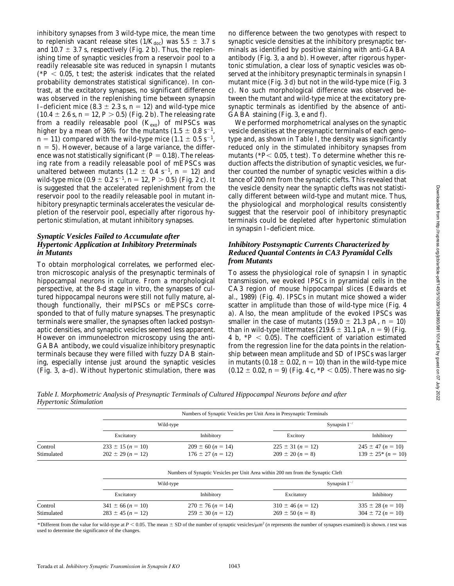inhibitory synapses from 3 wild-type mice, the mean time to replenish vacant release sites  $(1/K_{\text{doc}})$  was 5.5  $\pm$  3.7 s and 10.7  $\pm$  3.7 s, respectively (Fig. 2 b). Thus, the replenishing time of synaptic vesicles from a reservoir pool to a readily releasable site was reduced in synapsin I mutants  $(*P < 0.05, t$  test; the asterisk indicates that the related probability demonstrates statistical significance). In contrast, at the excitatory synapses, no significant difference was observed in the replenishing time between synapsin I-deficient mice (8.3  $\pm$  2.3 s, *n* = 12) and wild-type mice  $(10.4 \pm 2.6 \text{ s}, n = 12, P > 0.5)$  (Fig. 2 b). The releasing rate from a readily releasable pool  $(K_{\text{evo}})$  of mIPSCs was higher by a mean of 36% for the mutants (1.5  $\pm$  0.8 s<sup>-1</sup>,  $n = 11$ ) compared with the wild-type mice  $(1.1 \pm 0.5 \text{ s}^{-1})$ ,  $n = 5$ ). However, because of a large variance, the difference was not statistically significant  $(P = 0.18)$ . The releasing rate from a readily releasable pool of mEPSCs was unaltered between mutants  $(1.2 \pm 0.4 \text{ s}^{-1}, n = 12)$  and wild-type mice  $(0.9 \pm 0.2 \text{ s}^{-1}, n = 12, P > 0.5)$  (Fig. 2 c). It is suggested that the accelerated replenishment from the reservoir pool to the readily releasable pool in mutant inhibitory presynaptic terminals accelerates the vesicular depletion of the reservoir pool, especially after rigorous hypertonic stimulation, at mutant inhibitory synapses.

#### *Synaptic Vesicles Failed to Accumulate after Hypertonic Application at Inhibitory Preterminals in Mutants*

To obtain morphological correlates, we performed electron microscopic analysis of the presynaptic terminals of hippocampal neurons in culture. From a morphological perspective, at the 8-d stage in vitro, the synapses of cultured hippocampal neurons were still not fully mature, although functionally, their mIPSCs or mEPSCs corresponded to that of fully mature synapses. The presynaptic terminals were smaller, the synapses often lacked postsynaptic densities, and synaptic vesicles seemed less apparent. However on immunoelectron microscopy using the anti-GABA antibody, we could visualize inhibitory presynaptic terminals because they were filled with fuzzy DAB staining, especially intense just around the synaptic vesicles (Fig. 3, a–d). Without hypertonic stimulation, there was

no difference between the two genotypes with respect to synaptic vesicle densities at the inhibitory presynaptic terminals as identified by positive staining with anti-GABA antibody (Fig. 3, a and b). However, after rigorous hypertonic stimulation, a clear loss of synaptic vesicles was observed at the inhibitory presynaptic terminals in synapsin I mutant mice (Fig. 3 d) but not in the wild-type mice (Fig. 3 c). No such morphological difference was observed between the mutant and wild-type mice at the excitatory presynaptic terminals as identified by the absence of anti-GABA staining (Fig. 3, e and f).

We performed morphometrical analyses on the synaptic vesicle densities at the presynaptic terminals of each genotype and, as shown in Table I, the density was significantly reduced only in the stimulated inhibitory synapses from mutants ( $P$  < 0.05, *t* test). To determine whether this reduction affects the distribution of synaptic vesicles, we further counted the number of synaptic vesicles within a distance of 200 nm from the synaptic clefts. This revealed that the vesicle density near the synaptic clefts was not statistically different between wild-type and mutant mice. Thus, the physiological and morphological results consistently suggest that the reservoir pool of inhibitory presynaptic terminals could be depleted after hypertonic stimulation in synapsin I–deficient mice.

#### *Inhibitory Postsynaptic Currents Characterized by Reduced Quantal Contents in CA3 Pyramidal Cells from Mutants*

To assess the physiological role of synapsin I in synaptic transmission, we evoked IPSCs in pyramidal cells in the CA3 region of mouse hippocampal slices (Edwards et al., 1989) (Fig. 4). IPSCs in mutant mice showed a wider scatter in amplitude than those of wild-type mice (Fig. 4 a). Also, the mean amplitude of the evoked IPSCs was smaller in the case of mutants  $(159.0 \pm 21.3 \text{ pA}, n = 10)$ than in wild-type littermates  $(219.6 \pm 31.1 \text{ pA}, n = 9)$  (Fig. 4 b,  $*P < 0.05$ ). The coefficient of variation estimated from the regression line for the data points in the relationship between mean amplitude and SD of IPSCs was larger in mutants  $(0.18 \pm 0.02, n = 10)$  than in the wild-type mice  $(0.12 \pm 0.02, n = 9)$  (Fig. 4 c,  $*P < 0.05$ ). There was no sig-

|            | Numbers of Synaptic Vesicles per Unit Area in Presynaptic Terminals              |                       |                       |                       |
|------------|----------------------------------------------------------------------------------|-----------------------|-----------------------|-----------------------|
|            | Wild-type                                                                        |                       | Synapsin $I^{-/}$     |                       |
|            | Excitatory                                                                       | Inhibitory            | Excitory              | Inhibitory            |
| Control    | $233 \pm 15 (n = 10)$                                                            | $209 \pm 60$ (n = 14) | $225 \pm 31 (n = 12)$ | $245 \pm 47$ (n = 10) |
| Stimulated | $202 \pm 29 (n = 12)$                                                            | $176 \pm 27 (n = 12)$ | $209 \pm 20 (n = 8)$  | $139 \pm 25$ (n = 10) |
|            | Numbers of Synaptic Vesicles per Unit Area within 200 nm from the Synaptic Cleft |                       |                       |                       |
|            | Wild-type                                                                        |                       | Synapsin $I^{-/}$     |                       |
|            | Excitatory                                                                       | Inhibitory            | Excitatory            | Inhibitory            |
| Control    | $341 \pm 66 (n = 10)$                                                            | $270 \pm 76 (n = 14)$ | $310 \pm 46 (n = 12)$ | $335 \pm 28$ (n = 10) |
| Stimulated | $283 \pm 45$ (n = 12)                                                            | $259 \pm 30 (n = 12)$ | $269 \pm 50 (n = 8)$  | $304 \pm 72 (n = 10)$ |

*Table I. Morphometric Analysis of Presynaptic Terminals of Cultured Hippocampal Neurons before and after Hypertonic Stimulation*

\*Different from the value for wild-type at *P* < 0.05. The mean  $\pm$  SD of the number of synaptic vesicles/ $\mu$ m<sup>2</sup> (*n* represents the number of synapses examined) is shown. *t* test was used to determine the significance of the changes.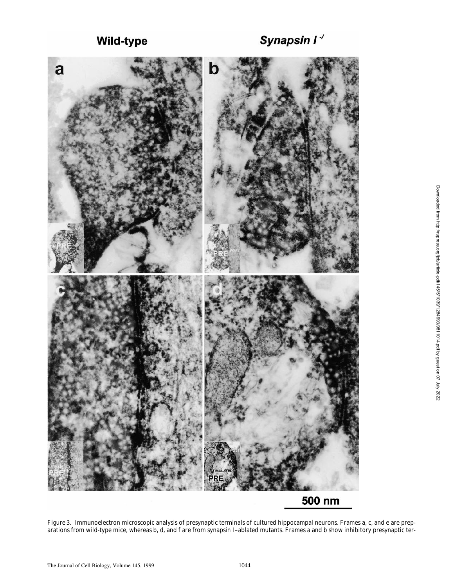Wild-type



*Figure 3.* Immunoelectron microscopic analysis of presynaptic terminals of cultured hippocampal neurons. Frames a, c, and e are preparations from wild-type mice, whereas b, d, and f are from synapsin I–ablated mutants. Frames a and b show inhibitory presynaptic ter-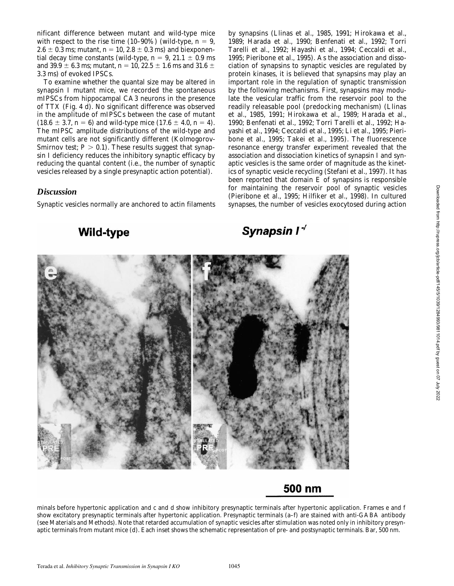nificant difference between mutant and wild-type mice with respect to the rise time  $(10-90\%)$  (wild-type,  $n = 9$ ,  $2.6 \pm 0.3$  ms; mutant,  $n = 10, 2.8 \pm 0.3$  ms) and biexponential decay time constants (wild-type,  $n = 9$ , 21.1  $\pm$  0.9 ms and 39.9  $\pm$  6.3 ms; mutant, *n* = 10, 22.5  $\pm$  1.6 ms and 31.6  $\pm$ 3.3 ms) of evoked IPSCs.

To examine whether the quantal size may be altered in synapsin I mutant mice, we recorded the spontaneous mIPSCs from hippocampal CA3 neurons in the presence of TTX (Fig. 4 d). No significant difference was observed in the amplitude of mIPSCs between the case of mutant  $(18.6 \pm 3.7, n = 6)$  and wild-type mice  $(17.6 \pm 4.0, n = 4)$ . The mIPSC amplitude distributions of the wild-type and mutant cells are not significantly different (Kolmogorov-Smirnov test;  $P > 0.1$ ). These results suggest that synapsin I deficiency reduces the inhibitory synaptic efficacy by reducing the quantal content (i.e., the number of synaptic vesicles released by a single presynaptic action potential).

### *Discussion*

Synaptic vesicles normally are anchored to actin filaments

**Wild-type** 

by synapsins (Llinas et al., 1985, 1991; Hirokawa et al., 1989; Harada et al., 1990; Benfenati et al., 1992; Torri Tarelli et al., 1992; Hayashi et al., 1994; Ceccaldi et al., 1995; Pieribone et al., 1995). As the association and dissociation of synapsins to synaptic vesicles are regulated by protein kinases, it is believed that synapsins may play an important role in the regulation of synaptic transmission by the following mechanisms. First, synapsins may modulate the vesicular traffic from the reservoir pool to the readily releasable pool (predocking mechanism) (Llinas et al., 1985, 1991; Hirokawa et al., 1989; Harada et al., 1990; Benfenati et al., 1992; Torri Tarelli et al., 1992; Hayashi et al., 1994; Ceccaldi et al., 1995; Li et al., 1995; Pieribone et al., 1995; Takei et al., 1995). The fluorescence resonance energy transfer experiment revealed that the association and dissociation kinetics of synapsin I and synaptic vesicles is the same order of magnitude as the kinetics of synaptic vesicle recycling (Stefani et al., 1997). It has been reported that domain  $E$  of synapsins is responsible for maintaining the reservoir pool of synaptic vesicles (Pieribone et al., 1995; Hilfiker et al., 1998). In cultured synapses, the number of vesicles exocytosed during action

## Synapsin I<sup>-/</sup>



### 500 nm

minals before hypertonic application and c and d show inhibitory presynaptic terminals after hypertonic application. Frames e and f show excitatory presynaptic terminals after hypertonic application. Presynaptic terminals (a–f) are stained with anti-GABA antibody (see Materials and Methods). Note that retarded accumulation of synaptic vesicles after stimulation was noted only in inhibitory presynaptic terminals from mutant mice (d). Each inset shows the schematic representation of pre- and postsynaptic terminals. Bar, 500 nm.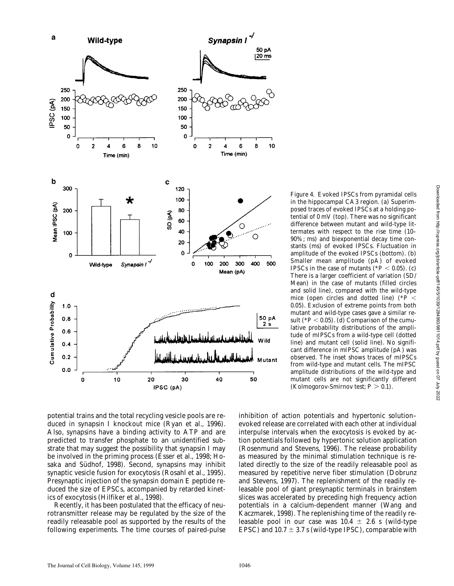

potential trains and the total recycling vesicle pools are reduced in synapsin I knockout mice (Ryan et al., 1996). Also, synapsins have a binding activity to ATP and are predicted to transfer phosphate to an unidentified substrate that may suggest the possibility that synapsin I may be involved in the priming process (Esser et al., 1998; Hosaka and Südhof, 1998). Second, synapsins may inhibit synaptic vesicle fusion for exocytosis (Rosahl et al., 1995). Presynaptic injection of the synapsin domain E peptide reduced the size of EPSCs, accompanied by retarded kinetics of exocytosis (Hilfiker et al., 1998).

Recently, it has been postulated that the efficacy of neurotransmitter release may be regulated by the size of the readily releasable pool as supported by the results of the following experiments. The time courses of paired-pulse *Figure 4.* Evoked IPSCs from pyramidal cells in the hippocampal CA3 region. (a) Superimposed traces of evoked IPSCs at a holding potential of 0 mV (top). There was no significant difference between mutant and wild-type littermates with respect to the rise time (10– 90%; ms) and biexponential decay time constants (ms) of evoked IPSCs. Fluctuation in amplitude of the evoked IPSCs (bottom). (b) Smaller mean amplitude (pA) of evoked IPSCs in the case of mutants ( $P < 0.05$ ). (c) There is a larger coefficient of variation (SD/ Mean) in the case of mutants (filled circles and solid line), compared with the wild-type mice (open circles and dotted line)  $(*P<sub>1</sub>)$ 0.05). Exclusion of extreme points from both mutant and wild-type cases gave a similar result  $(*P < 0.05)$ . (d) Comparison of the cumulative probability distributions of the amplitude of mIPSCs from a wild-type cell (dotted line) and mutant cell (solid line). No significant difference in mIPSC amplitude (pA) was observed. The inset shows traces of mIPSCs from wild-type and mutant cells. The mIPSC amplitude distributions of the wild-type and mutant cells are not significantly different (Kolmogorov-Smirnov test;  $P > 0.1$ ).

inhibition of action potentials and hypertonic solution– evoked release are correlated with each other at individual interpulse intervals when the exocytosis is evoked by action potentials followed by hypertonic solution application (Rosenmund and Stevens, 1996). The release probability as measured by the minimal stimulation technique is related directly to the size of the readily releasable pool as measured by repetitive nerve fiber stimulation (Dobrunz and Stevens, 1997). The replenishment of the readily releasable pool of giant presynaptic terminals in brainstem slices was accelerated by preceding high frequency action potentials in a calcium-dependent manner (Wang and Kaczmarek, 1998). The replenishing time of the readily releasable pool in our case was  $10.4 \pm 2.6$  s (wild-type EPSC) and  $10.7 \pm 3.7$  s (wild-type IPSC), comparable with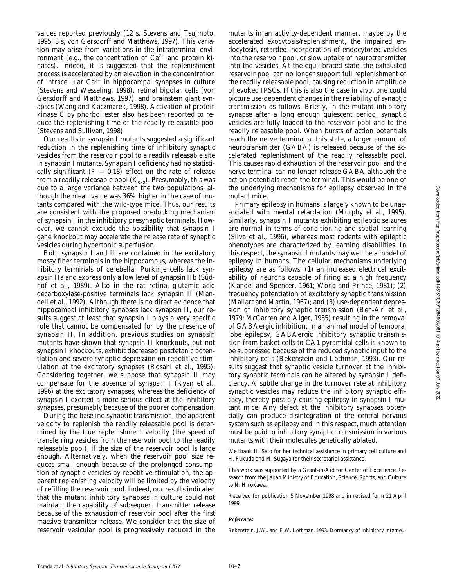values reported previously (12 s, Stevens and Tsujmoto, 1995; 8 s, von Gersdorff and Matthews, 1997). This variation may arise from variations in the intraterminal environment (e.g., the concentration of  $Ca^{2+}$  and protein kinases). Indeed, it is suggested that the replenishment process is accelerated by an elevation in the concentration of intracellular  $Ca^{2+}$  in hippocampal synapses in culture (Stevens and Wesseling, 1998), retinal bipolar cells (von Gersdorff and Matthews, 1997), and brainstem giant synapses (Wang and Kaczmarek, 1998). Activation of protein kinase C by phorbol ester also has been reported to reduce the replenishing time of the readily releasable pool (Stevens and Sullivan, 1998).

Our results in synapsin I mutants suggested a significant reduction in the replenishing time of inhibitory synaptic vesicles from the reservoir pool to a readily releasable site in synapsin I mutants. Synapsin I deficiency had no statistically significant  $(P = 0.18)$  effect on the rate of release from a readily releasable pool  $(K_{\text{exo}})$ . Presumably, this was due to a large variance between the two populations, although the mean value was 36% higher in the case of mutants compared with the wild-type mice. Thus, our results are consistent with the proposed predocking mechanism of synapsin I in the inhibitory presynaptic terminals. However, we cannot exclude the possibility that synapsin I gene knockout may accelerate the release rate of synaptic vesicles during hypertonic superfusion.

Both synapsin I and II are contained in the excitatory mossy fiber terminals in the hippocampus, whereas the inhibitory terminals of cerebellar Purkinje cells lack synapsin IIa and express only a low level of synapsin IIb (Südhof et al., 1989). Also in the rat retina, glutamic acid decarboxylase-positive terminals lack synapsin II (Mandell et al., 1992). Although there is no direct evidence that hippocampal inhibitory synapses lack synapsin II, our results suggest at least that synapsin I plays a very specific role that cannot be compensated for by the presence of synapsin II. In addition, previous studies on synapsin mutants have shown that synapsin II knockouts, but not synapsin I knockouts, exhibit decreased posttetanic potentiation and severe synaptic depression on repetitive stimulation at the excitatory synapses (Rosahl et al., 1995). Considering together, we suppose that synapsin II may compensate for the absence of synapsin I (Ryan et al., 1996) at the excitatory synapses, whereas the deficiency of synapsin I exerted a more serious effect at the inhibitory synapses, presumably because of the poorer compensation.

During the baseline synaptic transmission, the apparent velocity to replenish the readily releasable pool is determined by the true replenishment velocity (the speed of transferring vesicles from the reservoir pool to the readily releasable pool), if the size of the reservoir pool is large enough. Alternatively, when the reservoir pool size reduces small enough because of the prolonged consumption of synaptic vesicles by repetitive stimulation, the apparent replenishing velocity will be limited by the velocity of refilling the reservoir pool. Indeed, our results indicated that the mutant inhibitory synapses in culture could not maintain the capability of subsequent transmitter release because of the exhaustion of reservoir pool after the first massive transmitter release. We consider that the size of reservoir vesicular pool is progressively reduced in the

mutants in an activity-dependent manner, maybe by the accelerated exocytosis/replenishment, the impaired endocytosis, retarded incorporation of endocytosed vesicles into the reservoir pool, or slow uptake of neurotransmitter into the vesicles. At the equilibrated state, the exhausted reservoir pool can no longer support full replenishment of the readily releasable pool, causing reduction in amplitude of evoked IPSCs. If this is also the case in vivo, one could picture use-dependent changes in the reliability of synaptic transmission as follows. Briefly, in the mutant inhibitory synapse after a long enough quiescent period, synaptic vesicles are fully loaded to the reservoir pool and to the readily releasable pool. When bursts of action potentials reach the nerve terminal at this state, a larger amount of neurotransmitter (GABA) is released because of the accelerated replenishment of the readily releasable pool. This causes rapid exhaustion of the reservoir pool and the nerve terminal can no longer release GABA although the action potentials reach the terminal. This would be one of the underlying mechanisms for epilepsy observed in the mutant mice.

Primary epilepsy in humans is largely known to be unassociated with mental retardation (Murphy et al., 1995). Similarly, synapsin I mutants exhibiting epileptic seizures are normal in terms of conditioning and spatial learning (Silva et al., 1996), whereas most rodents with epileptic phenotypes are characterized by learning disabilities. In this respect, the synapsin I mutants may well be a model of epilepsy in humans. The cellular mechanisms underlying epilepsy are as follows: (1) an increased electrical excitability of neurons capable of firing at a high frequency (Kandel and Spencer, 1961; Wong and Prince, 1981); (2) frequency potentiation of excitatory synaptic transmission (Mallart and Martin, 1967); and (3) use-dependent depression of inhibitory synaptic transmission (Ben-Ari et al., 1979; McCarren and Alger, 1985) resulting in the removal of GABAergic inhibition. In an animal model of temporal lobe epilepsy, GABAergic inhibitory synaptic transmission from basket cells to CA1 pyramidal cells is known to be suppressed because of the reduced synaptic input to the inhibitory cells (Bekenstein and Lothman, 1993). Our results suggest that synaptic vesicle turnover at the inhibitory synaptic terminals can be altered by synapsin I deficiency. A subtle change in the turnover rate at inhibitory synaptic vesicles may reduce the inhibitory synaptic efficacy, thereby possibly causing epilepsy in synapsin I mutant mice. Any defect at the inhibitory synapses potentially can produce disintegration of the central nervous system such as epilepsy and in this respect, much attention must be paid to inhibitory synaptic transmission in various mutants with their molecules genetically ablated.

We thank H. Sato for her technical assistance in primary cell culture and H. Fukuda and M. Sugaya for their secretarial assistance.

This work was supported by a Grant-in-Aid for Center of Excellence Research from the Japan Ministry of Education, Science, Sports, and Culture to N. Hirokawa.

Received for publication 5 November 1998 and in revised form 21 April 1999.

#### *References*

Bekenstein, J.W., and E.W. Lothman. 1993. Dormancy of inhibitory interneu-